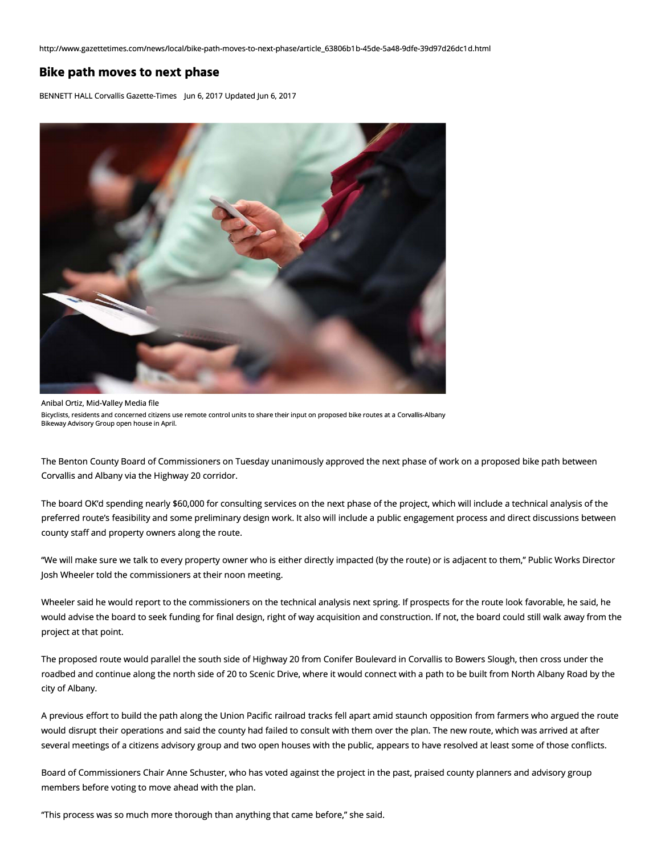http://www.gazettetimes.com/news/local/bike-path-moves-to-next-phase/article\_63806b1 b-45de-Sa48-9dfe-39d97d26dc1 d.html

## **Bike path moves to next phase**

BENNETT HALL Corvallis Gazette-Times Jun 6, 2017 Updated Jun 6, 2017



Anibal Ortiz, Mid-Valley Media file Bicyclists, residents and concerned citizens use remote control units to share their input on proposed bike routes at a Corvallis-Albany Bikeway Advisory Group open house in April.

The Benton County Board of Commissioners on Tuesday unanimously approved the next phase of work on a proposed bike path between Corvallis and Albany via the Highway 20 corridor.

The board OK'd spending nearly \$60,000 for consulting services on the next phase of the project, which will include a technical analysis of the preferred route's feasibility and some preliminary design work. It also will include a public engagement process and direct discussions between county staff and property owners along the route.

''We will make sure we talk to every property owner who is either directly impacted (by the route) or is adjacent to them," Public Works Director Josh Wheeler told the commissioners at their noon meeting.

Wheeler said he would report to the commissioners on the technical analysis next spring. If prospects for the route look favorable, he said, he would advise the board to seek funding for final design, right of way acquisition and construction. If not, the board could still walk away from the project at that point.

The proposed route would parallel the south side of Highway 20 from Conifer Boulevard in Corvallis to Bowers Slough, then cross under the roadbed and continue along the north side of 20 to Scenic Drive, where it would connect with a path to be built from North Albany Road by the city of Albany.

A previous effort to build the path along the Union Pacific railroad tracks fell apart amid staunch opposition from farmers who argued the route would disrupt their operations and said the county had failed to consult with them over the plan. The new route, which was arrived at after several meetings of a citizens advisory group and two open houses with the public, appears to have resolved at least some of those conflicts.

Board of Commissioners Chair Anne Schuster, who has voted against the project in the past, praised county planners and advisory group members before voting to move ahead with the plan.

"This process was so much more thorough than anything that came before," she said.